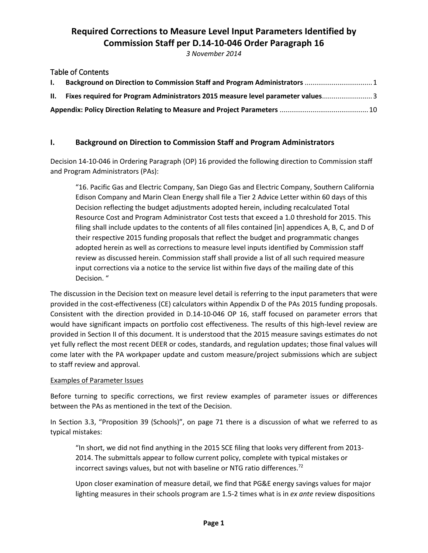# **Required Corrections to Measure Level Input Parameters Identified by Commission Staff per D.14-10-046 Order Paragraph 16**

*3 November 2014*

# Table of Contents

| Ъ. | Background on Direction to Commission Staff and Program Administrators  1          |  |  |  |  |
|----|------------------------------------------------------------------------------------|--|--|--|--|
|    | II. Fixes required for Program Administrators 2015 measure level parameter values3 |  |  |  |  |
|    |                                                                                    |  |  |  |  |

# <span id="page-0-0"></span>**I. Background on Direction to Commission Staff and Program Administrators**

Decision 14-10-046 in Ordering Paragraph (OP) 16 provided the following direction to Commission staff and Program Administrators (PAs):

"16. Pacific Gas and Electric Company, San Diego Gas and Electric Company, Southern California Edison Company and Marin Clean Energy shall file a Tier 2 Advice Letter within 60 days of this Decision reflecting the budget adjustments adopted herein, including recalculated Total Resource Cost and Program Administrator Cost tests that exceed a 1.0 threshold for 2015. This filing shall include updates to the contents of all files contained [in] appendices A, B, C, and D of their respective 2015 funding proposals that reflect the budget and programmatic changes adopted herein as well as corrections to measure level inputs identified by Commission staff review as discussed herein. Commission staff shall provide a list of all such required measure input corrections via a notice to the service list within five days of the mailing date of this Decision. "

The discussion in the Decision text on measure level detail is referring to the input parameters that were provided in the cost-effectiveness (CE) calculators within Appendix D of the PAs 2015 funding proposals. Consistent with the direction provided in D.14-10-046 OP 16, staff focused on parameter errors that would have significant impacts on portfolio cost effectiveness. The results of this high-level review are provided in Section II of this document. It is understood that the 2015 measure savings estimates do not yet fully reflect the most recent DEER or codes, standards, and regulation updates; those final values will come later with the PA workpaper update and custom measure/project submissions which are subject to staff review and approval.

# Examples of Parameter Issues

Before turning to specific corrections, we first review examples of parameter issues or differences between the PAs as mentioned in the text of the Decision.

In Section 3.3, "Proposition 39 (Schools)", on page 71 there is a discussion of what we referred to as typical mistakes:

"In short, we did not find anything in the 2015 SCE filing that looks very different from 2013- 2014. The submittals appear to follow current policy, complete with typical mistakes or incorrect savings values, but not with baseline or NTG ratio differences.<sup>72</sup>

Upon closer examination of measure detail, we find that PG&E energy savings values for major lighting measures in their schools program are 1.5-2 times what is in *ex ante* review dispositions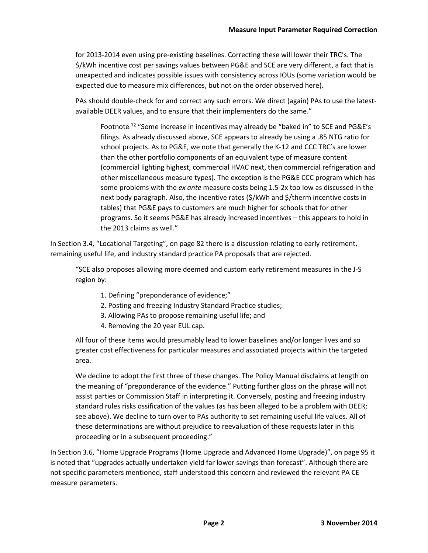for 2013-2014 even using pre-existing baselines. Correcting these will lower their TRC's. The \$/kWh incentive cost per savings values between PG&E and SCE are very different, a fact that is unexpected and indicates possible issues with consistency across IOUs (some variation would be expected due to measure mix differences, but not on the order observed here).

PAs should double-check for and correct any such errors. We direct (again) PAs to use the latestavailable DEER values, and to ensure that their implementers do the same."

Footnote 72 "Some increase in incentives may already be "baked in" to SCE and PG&E's filings. As already discussed above, SCE appears to already be using a .85 NTG ratio for school projects. As to PG&E, we note that generally the K-12 and CCC TRC's are lower than the other portfolio components of an equivalent type of measure content (commercial lighting highest, commercial HVAC next, then commercial refrigeration and other miscellaneous measure types). The exception is the PG&E CCC program which has some problems with the *ex ante* measure costs being 1.5-2x too low as discussed in the next body paragraph. Also, the incentive rates (\$/kWh and \$/therm incentive costs in tables) that PG&E pays to customers are much higher for schools that for other programs. So it seems PG&E has already increased incentives – this appears to hold in the 2013 claims as well."

In Section 3.4, "Locational Targeting", on page 82 there is a discussion relating to early retirement, remaining useful life, and industry standard practice PA proposals that are rejected.

"SCE also proposes allowing more deemed and custom early retirement measures in the J-S region by:

- 1. Defining "preponderance of evidence;"
- 2. Posting and freezing Industry Standard Practice studies;
- 3. Allowing PAs to propose remaining useful life; and
- 4. Removing the 20 year EUL cap.

All four of these items would presumably lead to lower baselines and/or longer lives and so greater cost effectiveness for particular measures and associated projects within the targeted area.

We decline to adopt the first three of these changes. The Policy Manual disclaims at length on the meaning of "preponderance of the evidence." Putting further gloss on the phrase will not assist parties or Commission Staff in interpreting it. Conversely, posting and freezing industry standard rules risks ossification of the values (as has been alleged to be a problem with DEER; see above). We decline to turn over to PAs authority to set remaining useful life values. All of these determinations are without prejudice to reevaluation of these requests later in this proceeding or in a subsequent proceeding."

In Section 3.6, "Home Upgrade Programs (Home Upgrade and Advanced Home Upgrade)", on page 95 it is noted that "upgrades actually undertaken yield far lower savings than forecast". Although there are not specific parameters mentioned, staff understood this concern and reviewed the relevant PA CE measure parameters.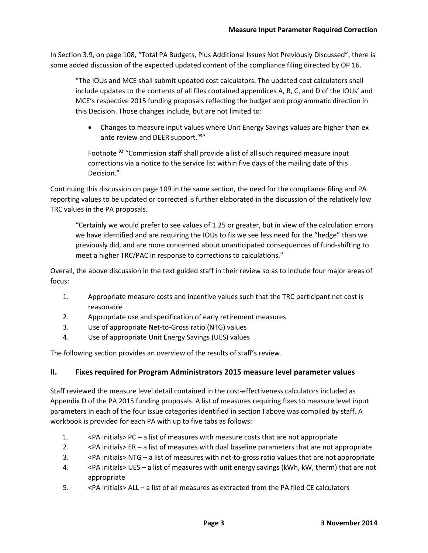In Section 3.9, on page 108, "Total PA Budgets, Plus Additional Issues Not Previously Discussed", there is some added discussion of the expected updated content of the compliance filing directed by OP 16.

"The IOUs and MCE shall submit updated cost calculators. The updated cost calculators shall include updates to the contents of all files contained appendices A, B, C, and D of the IOUs' and MCE's respective 2015 funding proposals reflecting the budget and programmatic direction in this Decision. Those changes include, but are not limited to:

• Changes to measure input values where Unit Energy Savings values are higher than ex ante review and DEER support.<sup>93"</sup>

Footnote<sup>93</sup> "Commission staff shall provide a list of all such required measure input corrections via a notice to the service list within five days of the mailing date of this Decision."

Continuing this discussion on page 109 in the same section, the need for the compliance filing and PA reporting values to be updated or corrected is further elaborated in the discussion of the relatively low TRC values in the PA proposals.

"Certainly we would prefer to see values of 1.25 or greater, but in view of the calculation errors we have identified and are requiring the IOUs to fix we see less need for the "hedge" than we previously did, and are more concerned about unanticipated consequences of fund-shifting to meet a higher TRC/PAC in response to corrections to calculations."

Overall, the above discussion in the text guided staff in their review so as to include four major areas of focus:

- 1. Appropriate measure costs and incentive values such that the TRC participant net cost is reasonable
- 2. Appropriate use and specification of early retirement measures
- 3. Use of appropriate Net-to-Gross ratio (NTG) values
- 4. Use of appropriate Unit Energy Savings (UES) values

The following section provides an overview of the results of staff's review.

# <span id="page-2-0"></span>**II. Fixes required for Program Administrators 2015 measure level parameter values**

Staff reviewed the measure level detail contained in the cost-effectiveness calculators included as Appendix D of the PA 2015 funding proposals. A list of measures requiring fixes to measure level input parameters in each of the four issue categories identified in section I above was compiled by staff. A workbook is provided for each PA with up to five tabs as follows:

- 1. <PA initials> PC a list of measures with measure costs that are not appropriate
- 2. <PA initials> ER a list of measures with dual baseline parameters that are not appropriate
- 3. <PA initials> NTG a list of measures with net-to-gross ratio values that are not appropriate
- 4. <PA initials> UES a list of measures with unit energy savings (kWh, kW, therm) that are not appropriate
- 5. <PA initials> ALL a list of all measures as extracted from the PA filed CE calculators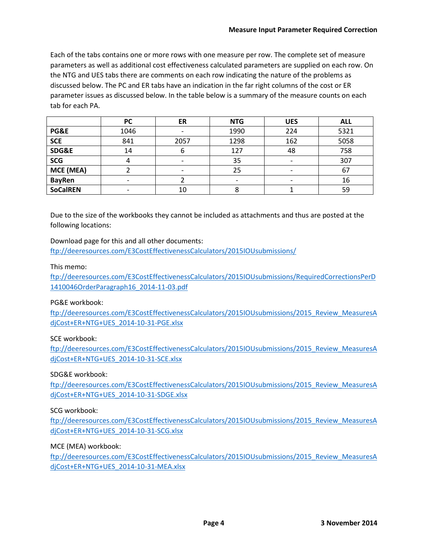Each of the tabs contains one or more rows with one measure per row. The complete set of measure parameters as well as additional cost effectiveness calculated parameters are supplied on each row. On the NTG and UES tabs there are comments on each row indicating the nature of the problems as discussed below. The PC and ER tabs have an indication in the far right columns of the cost or ER parameter issues as discussed below. In the table below is a summary of the measure counts on each tab for each PA.

|                 | <b>PC</b> | ER   | <b>NTG</b> | <b>UES</b> | <b>ALL</b> |
|-----------------|-----------|------|------------|------------|------------|
| PG&E            | 1046      |      | 1990       | 224        | 5321       |
| <b>SCE</b>      | 841       | 2057 | 1298       | 162        | 5058       |
| SDG&E           | 14        |      | 127        | 48         | 758        |
| <b>SCG</b>      |           |      | 35         |            | 307        |
| MCE (MEA)       |           |      | 25         |            | 67         |
| <b>BayRen</b>   |           |      |            |            | 16         |
| <b>SoCalREN</b> |           | 10   |            |            | 59         |

Due to the size of the workbooks they cannot be included as attachments and thus are posted at the following locations:

# Download page for this and all other documents:

<ftp://deeresources.com/E3CostEffectivenessCalculators/2015IOUsubmissions/>

# This memo:

[ftp://deeresources.com/E3CostEffectivenessCalculators/2015IOUsubmissions/RequiredCorrectionsPerD](ftp://deeresources.com/E3CostEffectivenessCalculators/2015IOUsubmissions/RequiredCorrectionsPerD1410046OrderParagraph16_2014-11-03.pdf) [1410046OrderParagraph16\\_2014-11-03.pdf](ftp://deeresources.com/E3CostEffectivenessCalculators/2015IOUsubmissions/RequiredCorrectionsPerD1410046OrderParagraph16_2014-11-03.pdf)

# PG&E workbook:

[ftp://deeresources.com/E3CostEffectivenessCalculators/2015IOUsubmissions/2015\\_Review\\_MeasuresA](ftp://deeresources.com/E3CostEffectivenessCalculators/2015IOUsubmissions/2015_Review_MeasuresAdjCost+ER+NTG+UES_2014-10-31-PGE.xlsx) [djCost+ER+NTG+UES\\_2014-10-31-PGE.xlsx](ftp://deeresources.com/E3CostEffectivenessCalculators/2015IOUsubmissions/2015_Review_MeasuresAdjCost+ER+NTG+UES_2014-10-31-PGE.xlsx)

# SCE workbook:

[ftp://deeresources.com/E3CostEffectivenessCalculators/2015IOUsubmissions/2015\\_Review\\_MeasuresA](ftp://deeresources.com/E3CostEffectivenessCalculators/2015IOUsubmissions/2015_Review_MeasuresAdjCost+ER+NTG+UES_2014-10-31-SCE.xlsx) [djCost+ER+NTG+UES\\_2014-10-31-SCE.xlsx](ftp://deeresources.com/E3CostEffectivenessCalculators/2015IOUsubmissions/2015_Review_MeasuresAdjCost+ER+NTG+UES_2014-10-31-SCE.xlsx)

# SDG&E workbook:

[ftp://deeresources.com/E3CostEffectivenessCalculators/2015IOUsubmissions/2015\\_Review\\_MeasuresA](ftp://deeresources.com/E3CostEffectivenessCalculators/2015IOUsubmissions/2015_Review_MeasuresAdjCost+ER+NTG+UES_2014-10-31-SDGE.xlsx) [djCost+ER+NTG+UES\\_2014-10-31-SDGE.xlsx](ftp://deeresources.com/E3CostEffectivenessCalculators/2015IOUsubmissions/2015_Review_MeasuresAdjCost+ER+NTG+UES_2014-10-31-SDGE.xlsx)

# SCG workbook:

[ftp://deeresources.com/E3CostEffectivenessCalculators/2015IOUsubmissions/2015\\_Review\\_MeasuresA](ftp://deeresources.com/E3CostEffectivenessCalculators/2015IOUsubmissions/2015_Review_MeasuresAdjCost+ER+NTG+UES_2014-10-31-SCG.xlsx) [djCost+ER+NTG+UES\\_2014-10-31-SCG.xlsx](ftp://deeresources.com/E3CostEffectivenessCalculators/2015IOUsubmissions/2015_Review_MeasuresAdjCost+ER+NTG+UES_2014-10-31-SCG.xlsx)

# MCE (MEA) workbook:

[ftp://deeresources.com/E3CostEffectivenessCalculators/2015IOUsubmissions/2015\\_Review\\_MeasuresA](ftp://deeresources.com/E3CostEffectivenessCalculators/2015IOUsubmissions/2015_Review_MeasuresAdjCost+ER+NTG+UES_2014-10-31-MEA.xlsx) [djCost+ER+NTG+UES\\_2014-10-31-MEA.xlsx](ftp://deeresources.com/E3CostEffectivenessCalculators/2015IOUsubmissions/2015_Review_MeasuresAdjCost+ER+NTG+UES_2014-10-31-MEA.xlsx)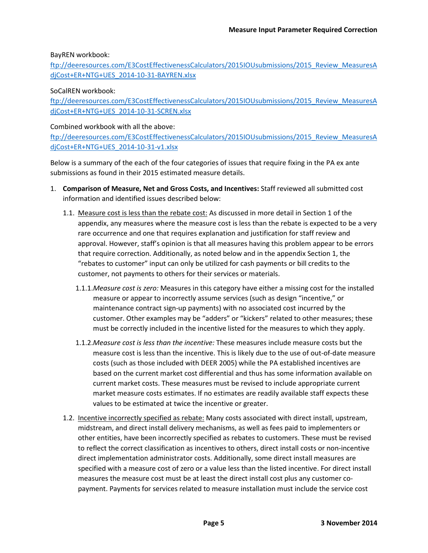BayREN workbook:

[ftp://deeresources.com/E3CostEffectivenessCalculators/2015IOUsubmissions/2015\\_Review\\_MeasuresA](ftp://deeresources.com/E3CostEffectivenessCalculators/2015IOUsubmissions/2015_Review_MeasuresAdjCost+ER+NTG+UES_2014-10-31-BAYREN.xlsx) [djCost+ER+NTG+UES\\_2014-10-31-BAYREN.xlsx](ftp://deeresources.com/E3CostEffectivenessCalculators/2015IOUsubmissions/2015_Review_MeasuresAdjCost+ER+NTG+UES_2014-10-31-BAYREN.xlsx)

SoCalREN workbook:

[ftp://deeresources.com/E3CostEffectivenessCalculators/2015IOUsubmissions/2015\\_Review\\_MeasuresA](ftp://deeresources.com/E3CostEffectivenessCalculators/2015IOUsubmissions/2015_Review_MeasuresAdjCost+ER+NTG+UES_2014-10-31-SCREN.xlsx) [djCost+ER+NTG+UES\\_2014-10-31-SCREN.xlsx](ftp://deeresources.com/E3CostEffectivenessCalculators/2015IOUsubmissions/2015_Review_MeasuresAdjCost+ER+NTG+UES_2014-10-31-SCREN.xlsx)

Combined workbook with all the above:

[ftp://deeresources.com/E3CostEffectivenessCalculators/2015IOUsubmissions/2015\\_Review\\_MeasuresA](ftp://deeresources.com/E3CostEffectivenessCalculators/2015IOUsubmissions/2015_Review_MeasuresAdjCost+ER+NTG+UES_2014-10-31-v1.xlsx) [djCost+ER+NTG+UES\\_2014-10-31-v1.xlsx](ftp://deeresources.com/E3CostEffectivenessCalculators/2015IOUsubmissions/2015_Review_MeasuresAdjCost+ER+NTG+UES_2014-10-31-v1.xlsx)

Below is a summary of the each of the four categories of issues that require fixing in the PA ex ante submissions as found in their 2015 estimated measure details.

- 1. **Comparison of Measure, Net and Gross Costs, and Incentives:** Staff reviewed all submitted cost information and identified issues described below:
	- 1.1. Measure cost is less than the rebate cost: As discussed in more detail in Section 1 of the appendix, any measures where the measure cost is less than the rebate is expected to be a very rare occurrence and one that requires explanation and justification for staff review and approval. However, staff's opinion is that all measures having this problem appear to be errors that require correction. Additionally, as noted below and in the appendix Section 1, the "rebates to customer" input can only be utilized for cash payments or bill credits to the customer, not payments to others for their services or materials.
		- 1.1.1.*Measure cost is zero:* Measures in this category have either a missing cost for the installed measure or appear to incorrectly assume services (such as design "incentive," or maintenance contract sign-up payments) with no associated cost incurred by the customer. Other examples may be "adders" or "kickers" related to other measures; these must be correctly included in the incentive listed for the measures to which they apply.
		- 1.1.2.*Measure cost is less than the incentive:* These measures include measure costs but the measure cost is less than the incentive. This is likely due to the use of out-of-date measure costs (such as those included with DEER 2005) while the PA established incentives are based on the current market cost differential and thus has some information available on current market costs. These measures must be revised to include appropriate current market measure costs estimates. If no estimates are readily available staff expects these values to be estimated at twice the incentive or greater.
	- 1.2. Incentive incorrectly specified as rebate: Many costs associated with direct install, upstream, midstream, and direct install delivery mechanisms, as well as fees paid to implementers or other entities, have been incorrectly specified as rebates to customers. These must be revised to reflect the correct classification as incentives to others, direct install costs or non-incentive direct implementation administrator costs. Additionally, some direct install measures are specified with a measure cost of zero or a value less than the listed incentive. For direct install measures the measure cost must be at least the direct install cost plus any customer copayment. Payments for services related to measure installation must include the service cost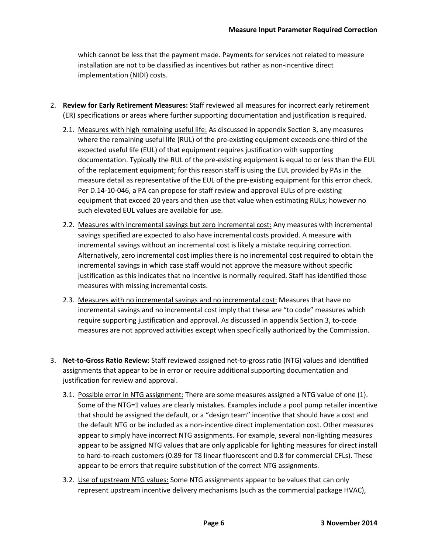which cannot be less that the payment made. Payments for services not related to measure installation are not to be classified as incentives but rather as non-incentive direct implementation (NIDI) costs.

- 2. **Review for Early Retirement Measures:** Staff reviewed all measures for incorrect early retirement (ER) specifications or areas where further supporting documentation and justification is required.
	- 2.1. Measures with high remaining useful life: As discussed in appendix Section 3, any measures where the remaining useful life (RUL) of the pre-existing equipment exceeds one-third of the expected useful life (EUL) of that equipment requires justification with supporting documentation. Typically the RUL of the pre-existing equipment is equal to or less than the EUL of the replacement equipment; for this reason staff is using the EUL provided by PAs in the measure detail as representative of the EUL of the pre-existing equipment for this error check. Per D.14-10-046, a PA can propose for staff review and approval EULs of pre-existing equipment that exceed 20 years and then use that value when estimating RULs; however no such elevated EUL values are available for use.
	- 2.2. Measures with incremental savings but zero incremental cost: Any measures with incremental savings specified are expected to also have incremental costs provided. A measure with incremental savings without an incremental cost is likely a mistake requiring correction. Alternatively, zero incremental cost implies there is no incremental cost required to obtain the incremental savings in which case staff would not approve the measure without specific justification as this indicates that no incentive is normally required. Staff has identified those measures with missing incremental costs.
	- 2.3. Measures with no incremental savings and no incremental cost: Measures that have no incremental savings and no incremental cost imply that these are "to code" measures which require supporting justification and approval. As discussed in appendix Section 3, to-code measures are not approved activities except when specifically authorized by the Commission.
- 3. **Net-to-Gross Ratio Review:** Staff reviewed assigned net-to-gross ratio (NTG) values and identified assignments that appear to be in error or require additional supporting documentation and justification for review and approval.
	- 3.1. Possible error in NTG assignment: There are some measures assigned a NTG value of one (1). Some of the NTG=1 values are clearly mistakes. Examples include a pool pump retailer incentive that should be assigned the default, or a "design team" incentive that should have a cost and the default NTG or be included as a non-incentive direct implementation cost. Other measures appear to simply have incorrect NTG assignments. For example, several non-lighting measures appear to be assigned NTG values that are only applicable for lighting measures for direct install to hard-to-reach customers (0.89 for T8 linear fluorescent and 0.8 for commercial CFLs). These appear to be errors that require substitution of the correct NTG assignments.
	- 3.2. Use of upstream NTG values: Some NTG assignments appear to be values that can only represent upstream incentive delivery mechanisms (such as the commercial package HVAC),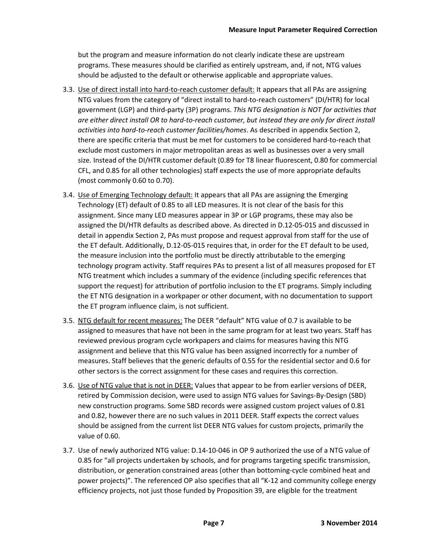but the program and measure information do not clearly indicate these are upstream programs. These measures should be clarified as entirely upstream, and, if not, NTG values should be adjusted to the default or otherwise applicable and appropriate values.

- 3.3. Use of direct install into hard-to-reach customer default: It appears that all PAs are assigning NTG values from the category of "direct install to hard-to-reach customers" (DI/HTR) for local government (LGP) and third-party (3P) programs. *This NTG designation is NOT for activities that are either direct install OR to hard-to-reach customer, but instead they are only for direct install activities into hard-to-reach customer facilities/homes*. As described in appendix Section 2, there are specific criteria that must be met for customers to be considered hard-to-reach that exclude most customers in major metropolitan areas as well as businesses over a very small size. Instead of the DI/HTR customer default (0.89 for T8 linear fluorescent, 0.80 for commercial CFL, and 0.85 for all other technologies) staff expects the use of more appropriate defaults (most commonly 0.60 to 0.70).
- 3.4. Use of Emerging Technology default: It appears that all PAs are assigning the Emerging Technology (ET) default of 0.85 to all LED measures. It is not clear of the basis for this assignment. Since many LED measures appear in 3P or LGP programs, these may also be assigned the DI/HTR defaults as described above. As directed in D.12-05-015 and discussed in detail in appendix Section 2, PAs must propose and request approval from staff for the use of the ET default. Additionally, D.12-05-015 requires that, in order for the ET default to be used, the measure inclusion into the portfolio must be directly attributable to the emerging technology program activity. Staff requires PAs to present a list of all measures proposed for ET NTG treatment which includes a summary of the evidence (including specific references that support the request) for attribution of portfolio inclusion to the ET programs. Simply including the ET NTG designation in a workpaper or other document, with no documentation to support the ET program influence claim, is not sufficient.
- 3.5. NTG default for recent measures: The DEER "default" NTG value of 0.7 is available to be assigned to measures that have not been in the same program for at least two years. Staff has reviewed previous program cycle workpapers and claims for measures having this NTG assignment and believe that this NTG value has been assigned incorrectly for a number of measures. Staff believes that the generic defaults of 0.55 for the residential sector and 0.6 for other sectors is the correct assignment for these cases and requires this correction.
- 3.6. Use of NTG value that is not in DEER: Values that appear to be from earlier versions of DEER, retired by Commission decision, were used to assign NTG values for Savings-By-Design (SBD) new construction programs. Some SBD records were assigned custom project values of 0.81 and 0.82, however there are no such values in 2011 DEER. Staff expects the correct values should be assigned from the current list DEER NTG values for custom projects, primarily the value of 0.60.
- 3.7. Use of newly authorized NTG value: D.14-10-046 in OP 9 authorized the use of a NTG value of 0.85 for "all projects undertaken by schools, and for programs targeting specific transmission, distribution, or generation constrained areas (other than bottoming-cycle combined heat and power projects)". The referenced OP also specifies that all "K-12 and community college energy efficiency projects, not just those funded by Proposition 39, are eligible for the treatment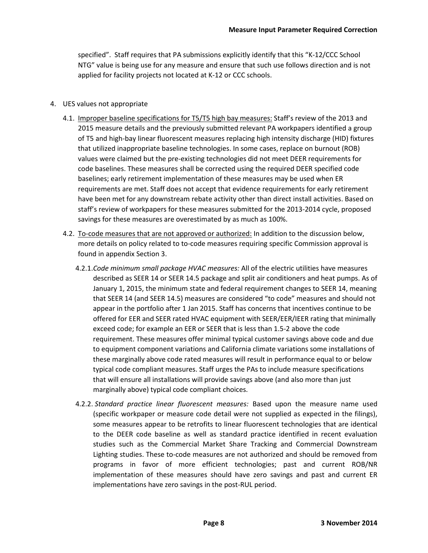specified". Staff requires that PA submissions explicitly identify that this "K-12/CCC School NTG" value is being use for any measure and ensure that such use follows direction and is not applied for facility projects not located at K-12 or CCC schools.

#### 4. UES values not appropriate

- 4.1. Improper baseline specifications for T5/T5 high bay measures: Staff's review of the 2013 and 2015 measure details and the previously submitted relevant PA workpapers identified a group of T5 and high-bay linear fluorescent measures replacing high intensity discharge (HID) fixtures that utilized inappropriate baseline technologies. In some cases, replace on burnout (ROB) values were claimed but the pre-existing technologies did not meet DEER requirements for code baselines. These measures shall be corrected using the required DEER specified code baselines; early retirement implementation of these measures may be used when ER requirements are met. Staff does not accept that evidence requirements for early retirement have been met for any downstream rebate activity other than direct install activities. Based on staff's review of workpapers for these measures submitted for the 2013-2014 cycle, proposed savings for these measures are overestimated by as much as 100%.
- 4.2. To-code measures that are not approved or authorized: In addition to the discussion below, more details on policy related to to-code measures requiring specific Commission approval is found in appendix Section 3.
	- 4.2.1.*Code minimum small package HVAC measures:* All of the electric utilities have measures described as SEER 14 or SEER 14.5 package and split air conditioners and heat pumps. As of January 1, 2015, the minimum state and federal requirement changes to SEER 14, meaning that SEER 14 (and SEER 14.5) measures are considered "to code" measures and should not appear in the portfolio after 1 Jan 2015. Staff has concerns that incentives continue to be offered for EER and SEER rated HVAC equipment with SEER/EER/IEER rating that minimally exceed code; for example an EER or SEER that is less than 1.5-2 above the code requirement. These measures offer minimal typical customer savings above code and due to equipment component variations and California climate variations some installations of these marginally above code rated measures will result in performance equal to or below typical code compliant measures. Staff urges the PAs to include measure specifications that will ensure all installations will provide savings above (and also more than just marginally above) typical code compliant choices.
	- 4.2.2. *Standard practice linear fluorescent measures:* Based upon the measure name used (specific workpaper or measure code detail were not supplied as expected in the filings), some measures appear to be retrofits to linear fluorescent technologies that are identical to the DEER code baseline as well as standard practice identified in recent evaluation studies such as the Commercial Market Share Tracking and Commercial Downstream Lighting studies. These to-code measures are not authorized and should be removed from programs in favor of more efficient technologies; past and current ROB/NR implementation of these measures should have zero savings and past and current ER implementations have zero savings in the post-RUL period.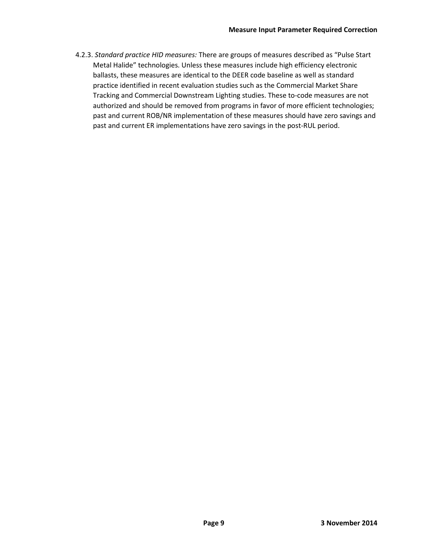4.2.3. *Standard practice HID measures:* There are groups of measures described as "Pulse Start Metal Halide" technologies. Unless these measures include high efficiency electronic ballasts, these measures are identical to the DEER code baseline as well as standard practice identified in recent evaluation studies such as the Commercial Market Share Tracking and Commercial Downstream Lighting studies. These to-code measures are not authorized and should be removed from programs in favor of more efficient technologies; past and current ROB/NR implementation of these measures should have zero savings and past and current ER implementations have zero savings in the post-RUL period.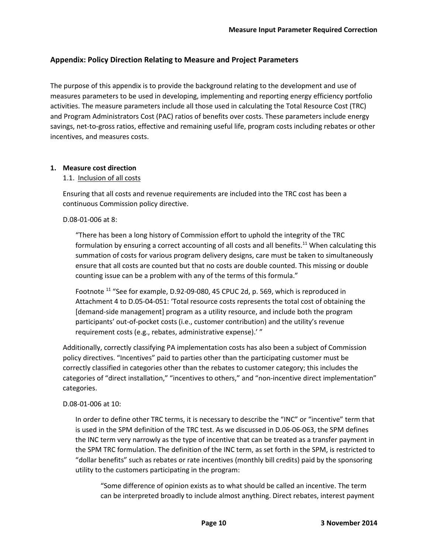# <span id="page-9-0"></span>**Appendix: Policy Direction Relating to Measure and Project Parameters**

The purpose of this appendix is to provide the background relating to the development and use of measures parameters to be used in developing, implementing and reporting energy efficiency portfolio activities. The measure parameters include all those used in calculating the Total Resource Cost (TRC) and Program Administrators Cost (PAC) ratios of benefits over costs. These parameters include energy savings, net-to-gross ratios, effective and remaining useful life, program costs including rebates or other incentives, and measures costs.

# **1. Measure cost direction**

# 1.1. Inclusion of all costs

Ensuring that all costs and revenue requirements are included into the TRC cost has been a continuous Commission policy directive.

# D.08-01-006 at 8:

"There has been a long history of Commission effort to uphold the integrity of the TRC formulation by ensuring a correct accounting of all costs and all benefits.<sup>11</sup> When calculating this summation of costs for various program delivery designs, care must be taken to simultaneously ensure that all costs are counted but that no costs are double counted. This missing or double counting issue can be a problem with any of the terms of this formula."

Footnote 11 "See for example, D.92-09-080, 45 CPUC 2d, p. 569, which is reproduced in Attachment 4 to D.05-04-051: 'Total resource costs represents the total cost of obtaining the [demand-side management] program as a utility resource, and include both the program participants' out-of-pocket costs (i.e., customer contribution) and the utility's revenue requirement costs (e.g., rebates, administrative expense).' "

Additionally, correctly classifying PA implementation costs has also been a subject of Commission policy directives. "Incentives" paid to parties other than the participating customer must be correctly classified in categories other than the rebates to customer category; this includes the categories of "direct installation," "incentives to others," and "non-incentive direct implementation" categories.

# D.08-01-006 at 10:

In order to define other TRC terms, it is necessary to describe the "INC" or "incentive" term that is used in the SPM definition of the TRC test. As we discussed in D.06-06-063, the SPM defines the INC term very narrowly as the type of incentive that can be treated as a transfer payment in the SPM TRC formulation. The definition of the INC term, as set forth in the SPM, is restricted to "dollar benefits" such as rebates or rate incentives (monthly bill credits) paid by the sponsoring utility to the customers participating in the program:

"Some difference of opinion exists as to what should be called an incentive. The term can be interpreted broadly to include almost anything. Direct rebates, interest payment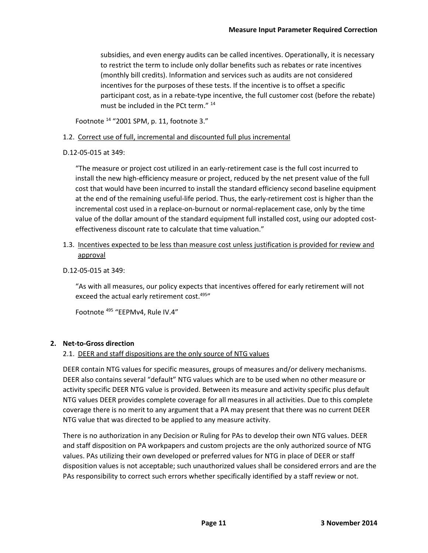subsidies, and even energy audits can be called incentives. Operationally, it is necessary to restrict the term to include only dollar benefits such as rebates or rate incentives (monthly bill credits). Information and services such as audits are not considered incentives for the purposes of these tests. If the incentive is to offset a specific participant cost, as in a rebate-type incentive, the full customer cost (before the rebate) must be included in the PCt term." 14

Footnote<sup>14</sup> "2001 SPM, p. 11, footnote 3."

#### 1.2. Correct use of full, incremental and discounted full plus incremental

#### D.12-05-015 at 349:

"The measure or project cost utilized in an early-retirement case is the full cost incurred to install the new high-efficiency measure or project, reduced by the net present value of the full cost that would have been incurred to install the standard efficiency second baseline equipment at the end of the remaining useful-life period. Thus, the early-retirement cost is higher than the incremental cost used in a replace-on-burnout or normal-replacement case, only by the time value of the dollar amount of the standard equipment full installed cost, using our adopted costeffectiveness discount rate to calculate that time valuation."

- 1.3. Incentives expected to be less than measure cost unless justification is provided for review and approval
- D.12-05-015 at 349:

"As with all measures, our policy expects that incentives offered for early retirement will not exceed the actual early retirement cost.<sup>495</sup>"

Footnote 495 "EEPMv4, Rule IV.4"

# **2. Net-to-Gross direction**

# 2.1. DEER and staff dispositions are the only source of NTG values

DEER contain NTG values for specific measures, groups of measures and/or delivery mechanisms. DEER also contains several "default" NTG values which are to be used when no other measure or activity specific DEER NTG value is provided. Between its measure and activity specific plus default NTG values DEER provides complete coverage for all measures in all activities. Due to this complete coverage there is no merit to any argument that a PA may present that there was no current DEER NTG value that was directed to be applied to any measure activity.

There is no authorization in any Decision or Ruling for PAs to develop their own NTG values. DEER and staff disposition on PA workpapers and custom projects are the only authorized source of NTG values. PAs utilizing their own developed or preferred values for NTG in place of DEER or staff disposition values is not acceptable; such unauthorized values shall be considered errors and are the PAs responsibility to correct such errors whether specifically identified by a staff review or not.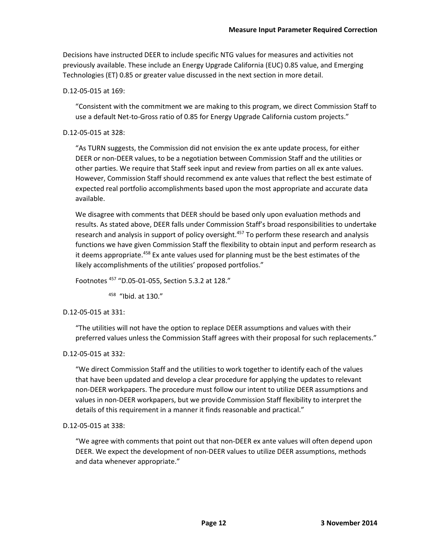Decisions have instructed DEER to include specific NTG values for measures and activities not previously available. These include an Energy Upgrade California (EUC) 0.85 value, and Emerging Technologies (ET) 0.85 or greater value discussed in the next section in more detail.

# D.12-05-015 at 169:

"Consistent with the commitment we are making to this program, we direct Commission Staff to use a default Net-to-Gross ratio of 0.85 for Energy Upgrade California custom projects."

#### D.12-05-015 at 328:

"As TURN suggests, the Commission did not envision the ex ante update process, for either DEER or non-DEER values, to be a negotiation between Commission Staff and the utilities or other parties. We require that Staff seek input and review from parties on all ex ante values. However, Commission Staff should recommend ex ante values that reflect the best estimate of expected real portfolio accomplishments based upon the most appropriate and accurate data available.

We disagree with comments that DEER should be based only upon evaluation methods and results. As stated above, DEER falls under Commission Staff's broad responsibilities to undertake research and analysis in support of policy oversight.<sup>457</sup> To perform these research and analysis functions we have given Commission Staff the flexibility to obtain input and perform research as it deems appropriate.458 Ex ante values used for planning must be the best estimates of the likely accomplishments of the utilities' proposed portfolios."

Footnotes <sup>457</sup> "D.05-01-055, Section 5.3.2 at 128."

458 "Ibid. at 130."

#### D.12-05-015 at 331:

"The utilities will not have the option to replace DEER assumptions and values with their preferred values unless the Commission Staff agrees with their proposal for such replacements."

# D.12-05-015 at 332:

"We direct Commission Staff and the utilities to work together to identify each of the values that have been updated and develop a clear procedure for applying the updates to relevant non-DEER workpapers. The procedure must follow our intent to utilize DEER assumptions and values in non-DEER workpapers, but we provide Commission Staff flexibility to interpret the details of this requirement in a manner it finds reasonable and practical."

#### D.12-05-015 at 338:

"We agree with comments that point out that non-DEER ex ante values will often depend upon DEER. We expect the development of non-DEER values to utilize DEER assumptions, methods and data whenever appropriate."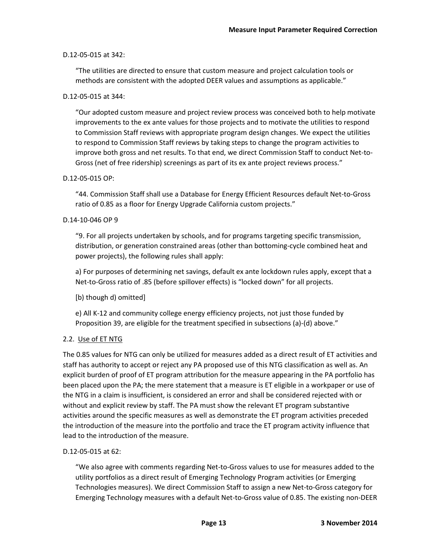### D.12-05-015 at 342:

"The utilities are directed to ensure that custom measure and project calculation tools or methods are consistent with the adopted DEER values and assumptions as applicable."

#### D.12-05-015 at 344:

"Our adopted custom measure and project review process was conceived both to help motivate improvements to the ex ante values for those projects and to motivate the utilities to respond to Commission Staff reviews with appropriate program design changes. We expect the utilities to respond to Commission Staff reviews by taking steps to change the program activities to improve both gross and net results. To that end, we direct Commission Staff to conduct Net-to-Gross (net of free ridership) screenings as part of its ex ante project reviews process."

#### D.12-05-015 OP:

"44. Commission Staff shall use a Database for Energy Efficient Resources default Net-to-Gross ratio of 0.85 as a floor for Energy Upgrade California custom projects."

#### D.14-10-046 OP 9

"9. For all projects undertaken by schools, and for programs targeting specific transmission, distribution, or generation constrained areas (other than bottoming-cycle combined heat and power projects), the following rules shall apply:

a) For purposes of determining net savings, default ex ante lockdown rules apply, except that a Net-to-Gross ratio of .85 (before spillover effects) is "locked down" for all projects.

[b) though d) omitted]

e) All K-12 and community college energy efficiency projects, not just those funded by Proposition 39, are eligible for the treatment specified in subsections (a)-(d) above."

# 2.2. Use of ET NTG

The 0.85 values for NTG can only be utilized for measures added as a direct result of ET activities and staff has authority to accept or reject any PA proposed use of this NTG classification as well as. An explicit burden of proof of ET program attribution for the measure appearing in the PA portfolio has been placed upon the PA; the mere statement that a measure is ET eligible in a workpaper or use of the NTG in a claim is insufficient, is considered an error and shall be considered rejected with or without and explicit review by staff. The PA must show the relevant ET program substantive activities around the specific measures as well as demonstrate the ET program activities preceded the introduction of the measure into the portfolio and trace the ET program activity influence that lead to the introduction of the measure.

#### D.12-05-015 at 62:

"We also agree with comments regarding Net-to-Gross values to use for measures added to the utility portfolios as a direct result of Emerging Technology Program activities (or Emerging Technologies measures). We direct Commission Staff to assign a new Net-to-Gross category for Emerging Technology measures with a default Net-to-Gross value of 0.85. The existing non-DEER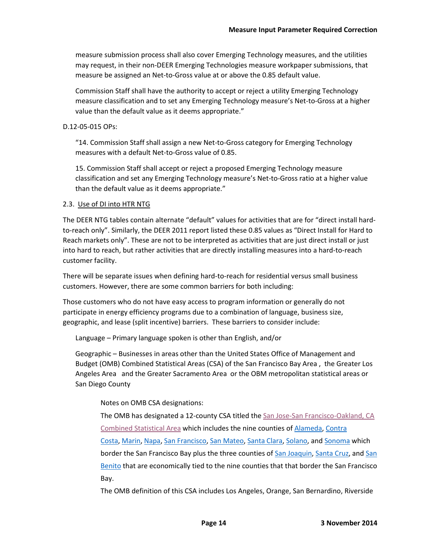measure submission process shall also cover Emerging Technology measures, and the utilities may request, in their non-DEER Emerging Technologies measure workpaper submissions, that measure be assigned an Net-to-Gross value at or above the 0.85 default value.

Commission Staff shall have the authority to accept or reject a utility Emerging Technology measure classification and to set any Emerging Technology measure's Net-to-Gross at a higher value than the default value as it deems appropriate."

#### D.12-05-015 OPs:

"14. Commission Staff shall assign a new Net-to-Gross category for Emerging Technology measures with a default Net-to-Gross value of 0.85.

15. Commission Staff shall accept or reject a proposed Emerging Technology measure classification and set any Emerging Technology measure's Net-to-Gross ratio at a higher value than the default value as it deems appropriate."

#### 2.3. Use of DI into HTR NTG

The DEER NTG tables contain alternate "default" values for activities that are for "direct install hardto-reach only". Similarly, the DEER 2011 report listed these 0.85 values as "Direct Install for Hard to Reach markets only". These are not to be interpreted as activities that are just direct install or just into hard to reach, but rather activities that are directly installing measures into a hard-to-reach customer facility.

There will be separate issues when defining hard-to-reach for residential versus small business customers. However, there are some common barriers for both including:

Those customers who do not have easy access to program information or generally do not participate in energy efficiency programs due to a combination of language, business size, geographic, and lease (split incentive) barriers. These barriers to consider include:

Language – Primary language spoken is other than English, and/or

Geographic – Businesses in areas other than the United States Office of Management and Budget (OMB) Combined Statistical Areas (CSA) of the San Francisco Bay Area , the Greater Los Angeles Area and the Greater Sacramento Area or the OBM metropolitan statistical areas or San Diego County

Notes on OMB CSA designations:

The OMB has designated a 12-county CSA titled the [San Jose-San Francisco-Oakland, CA](http://en.wikipedia.org/wiki/San_Jose-San_Francisco-Oakland,_CA_Combined_Statistical_Area)  [Combined Statistical Area](http://en.wikipedia.org/wiki/San_Jose-San_Francisco-Oakland,_CA_Combined_Statistical_Area) which includes the nine counties o[f Alameda,](http://en.wikipedia.org/wiki/Alameda_County,_California) [Contra](http://en.wikipedia.org/wiki/Contra_Costa_County,_California)  [Costa,](http://en.wikipedia.org/wiki/Contra_Costa_County,_California) [Marin,](http://en.wikipedia.org/wiki/Marin_County,_California) [Napa,](http://en.wikipedia.org/wiki/Napa_County,_California) [San Francisco,](http://en.wikipedia.org/wiki/San_Francisco_County,_California) [San Mateo,](http://en.wikipedia.org/wiki/San_Mateo_County,_California) [Santa Clara,](http://en.wikipedia.org/wiki/Santa_Clara_County,_California) [Solano,](http://en.wikipedia.org/wiki/Solano_County,_California) and [Sonoma](http://en.wikipedia.org/wiki/Sonoma_County,_California) which border the San Francisco Bay plus the three counties of [San Joaquin,](http://en.wikipedia.org/wiki/San_Joaquin_County,_California) [Santa Cruz,](http://en.wikipedia.org/wiki/Santa_Cruz_County,_California) and [San](http://en.wikipedia.org/wiki/San_Benito_County,_California)  [Benito](http://en.wikipedia.org/wiki/San_Benito_County,_California) that are economically tied to the nine counties that that border the San Francisco Bay.

The OMB definition of this CSA includes Los Angeles, Orange, San Bernardino, Riverside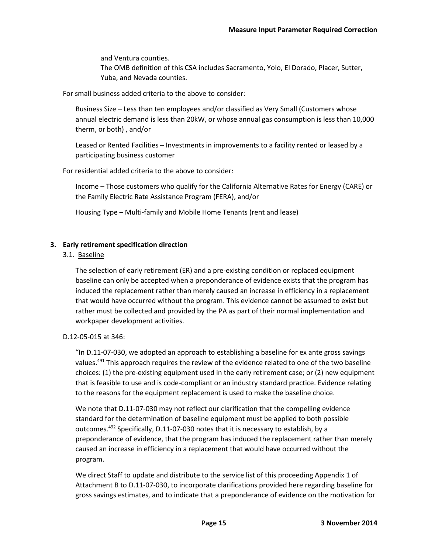and Ventura counties. The OMB definition of this CSA includes Sacramento, Yolo, El Dorado, Placer, Sutter, Yuba, and Nevada counties.

For small business added criteria to the above to consider:

Business Size – Less than ten employees and/or classified as Very Small (Customers whose annual electric demand is less than 20kW, or whose annual gas consumption is less than 10,000 therm, or both) , and/or

Leased or Rented Facilities – Investments in improvements to a facility rented or leased by a participating business customer

For residential added criteria to the above to consider:

Income – Those customers who qualify for the California Alternative Rates for Energy (CARE) or the Family Electric Rate Assistance Program (FERA), and/or

Housing Type – Multi-family and Mobile Home Tenants (rent and lease)

#### **3. Early retirement specification direction**

#### 3.1. Baseline

The selection of early retirement (ER) and a pre-existing condition or replaced equipment baseline can only be accepted when a preponderance of evidence exists that the program has induced the replacement rather than merely caused an increase in efficiency in a replacement that would have occurred without the program. This evidence cannot be assumed to exist but rather must be collected and provided by the PA as part of their normal implementation and workpaper development activities.

#### D.12-05-015 at 346:

"In D.11-07-030, we adopted an approach to establishing a baseline for ex ante gross savings values.<sup>491</sup> This approach requires the review of the evidence related to one of the two baseline choices: (1) the pre-existing equipment used in the early retirement case; or (2) new equipment that is feasible to use and is code-compliant or an industry standard practice. Evidence relating to the reasons for the equipment replacement is used to make the baseline choice.

We note that D.11-07-030 may not reflect our clarification that the compelling evidence standard for the determination of baseline equipment must be applied to both possible outcomes.492 Specifically, D.11-07-030 notes that it is necessary to establish, by a preponderance of evidence, that the program has induced the replacement rather than merely caused an increase in efficiency in a replacement that would have occurred without the program.

We direct Staff to update and distribute to the service list of this proceeding Appendix 1 of Attachment B to D.11-07-030, to incorporate clarifications provided here regarding baseline for gross savings estimates, and to indicate that a preponderance of evidence on the motivation for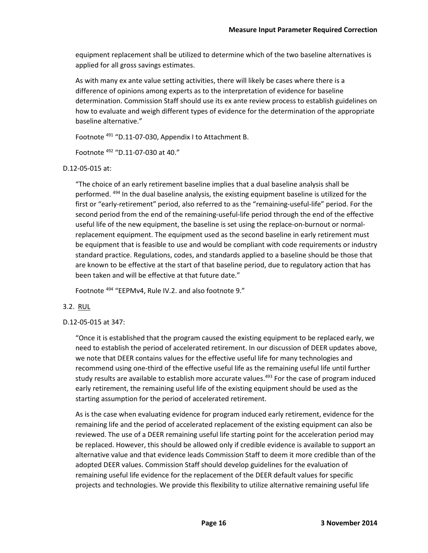equipment replacement shall be utilized to determine which of the two baseline alternatives is applied for all gross savings estimates.

As with many ex ante value setting activities, there will likely be cases where there is a difference of opinions among experts as to the interpretation of evidence for baseline determination. Commission Staff should use its ex ante review process to establish guidelines on how to evaluate and weigh different types of evidence for the determination of the appropriate baseline alternative."

Footnote 491 "D.11-07-030, Appendix I to Attachment B.

Footnote 492 "D.11-07-030 at 40."

#### D.12-05-015 at:

"The choice of an early retirement baseline implies that a dual baseline analysis shall be performed. 494 In the dual baseline analysis, the existing equipment baseline is utilized for the first or "early-retirement" period, also referred to as the "remaining-useful-life" period. For the second period from the end of the remaining-useful-life period through the end of the effective useful life of the new equipment, the baseline is set using the replace-on-burnout or normalreplacement equipment. The equipment used as the second baseline in early retirement must be equipment that is feasible to use and would be compliant with code requirements or industry standard practice. Regulations, codes, and standards applied to a baseline should be those that are known to be effective at the start of that baseline period, due to regulatory action that has been taken and will be effective at that future date."

Footnote <sup>494</sup> "EEPMv4, Rule IV.2. and also footnote 9."

# 3.2. RUL

# D.12-05-015 at 347:

"Once it is established that the program caused the existing equipment to be replaced early, we need to establish the period of accelerated retirement. In our discussion of DEER updates above, we note that DEER contains values for the effective useful life for many technologies and recommend using one-third of the effective useful life as the remaining useful life until further study results are available to establish more accurate values.<sup>493</sup> For the case of program induced early retirement, the remaining useful life of the existing equipment should be used as the starting assumption for the period of accelerated retirement.

As is the case when evaluating evidence for program induced early retirement, evidence for the remaining life and the period of accelerated replacement of the existing equipment can also be reviewed. The use of a DEER remaining useful life starting point for the acceleration period may be replaced. However, this should be allowed only if credible evidence is available to support an alternative value and that evidence leads Commission Staff to deem it more credible than of the adopted DEER values. Commission Staff should develop guidelines for the evaluation of remaining useful life evidence for the replacement of the DEER default values for specific projects and technologies. We provide this flexibility to utilize alternative remaining useful life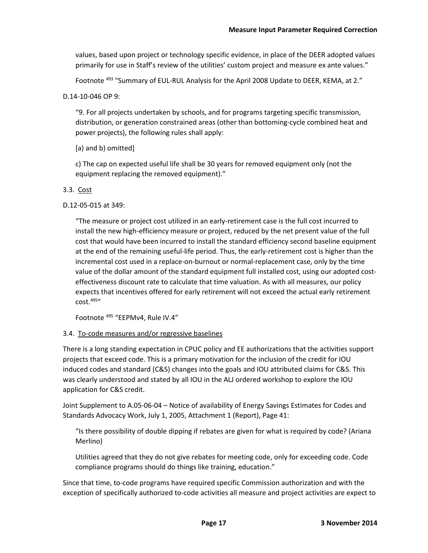values, based upon project or technology specific evidence, in place of the DEER adopted values primarily for use in Staff's review of the utilities' custom project and measure ex ante values."

Footnote <sup>493</sup> "Summary of EUL-RUL Analysis for the April 2008 Update to DEER, KEMA, at 2."

D.14-10-046 OP 9:

"9. For all projects undertaken by schools, and for programs targeting specific transmission, distribution, or generation constrained areas (other than bottoming-cycle combined heat and power projects), the following rules shall apply:

[a) and b) omitted]

c) The cap on expected useful life shall be 30 years for removed equipment only (not the equipment replacing the removed equipment)."

# 3.3. Cost

# D.12-05-015 at 349:

"The measure or project cost utilized in an early-retirement case is the full cost incurred to install the new high-efficiency measure or project, reduced by the net present value of the full cost that would have been incurred to install the standard efficiency second baseline equipment at the end of the remaining useful-life period. Thus, the early-retirement cost is higher than the incremental cost used in a replace-on-burnout or normal-replacement case, only by the time value of the dollar amount of the standard equipment full installed cost, using our adopted costeffectiveness discount rate to calculate that time valuation. As with all measures, our policy expects that incentives offered for early retirement will not exceed the actual early retirement  $\text{cost}^{495\prime\prime}$ 

Footnote 495 "EEPMv4, Rule IV.4"

# 3.4. To-code measures and/or regressive baselines

There is a long standing expectation in CPUC policy and EE authorizations that the activities support projects that exceed code. This is a primary motivation for the inclusion of the credit for IOU induced codes and standard (C&S) changes into the goals and IOU attributed claims for C&S. This was clearly understood and stated by all IOU in the ALJ ordered workshop to explore the IOU application for C&S credit.

Joint Supplement to A.05-06-04 – Notice of availability of Energy Savings Estimates for Codes and Standards Advocacy Work, July 1, 2005, Attachment 1 (Report), Page 41:

"Is there possibility of double dipping if rebates are given for what is required by code? (Ariana Merlino)

Utilities agreed that they do not give rebates for meeting code, only for exceeding code. Code compliance programs should do things like training, education."

Since that time, to-code programs have required specific Commission authorization and with the exception of specifically authorized to-code activities all measure and project activities are expect to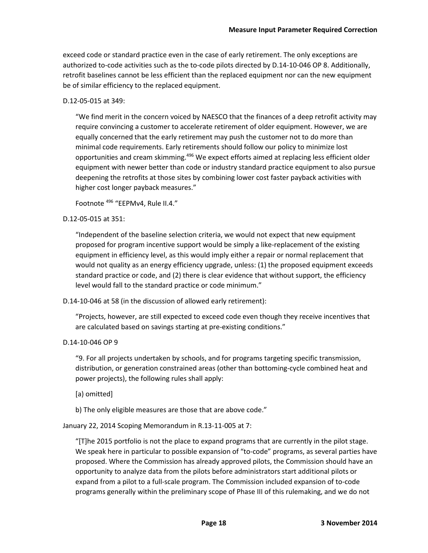exceed code or standard practice even in the case of early retirement. The only exceptions are authorized to-code activities such as the to-code pilots directed by D.14-10-046 OP 8. Additionally, retrofit baselines cannot be less efficient than the replaced equipment nor can the new equipment be of similar efficiency to the replaced equipment.

#### D.12-05-015 at 349:

"We find merit in the concern voiced by NAESCO that the finances of a deep retrofit activity may require convincing a customer to accelerate retirement of older equipment. However, we are equally concerned that the early retirement may push the customer not to do more than minimal code requirements. Early retirements should follow our policy to minimize lost opportunities and cream skimming.<sup>496</sup> We expect efforts aimed at replacing less efficient older equipment with newer better than code or industry standard practice equipment to also pursue deepening the retrofits at those sites by combining lower cost faster payback activities with higher cost longer payback measures."

Footnote 496 "EEPMv4, Rule II.4."

#### D.12-05-015 at 351:

"Independent of the baseline selection criteria, we would not expect that new equipment proposed for program incentive support would be simply a like-replacement of the existing equipment in efficiency level, as this would imply either a repair or normal replacement that would not quality as an energy efficiency upgrade, unless: (1) the proposed equipment exceeds standard practice or code, and (2) there is clear evidence that without support, the efficiency level would fall to the standard practice or code minimum."

D.14-10-046 at 58 (in the discussion of allowed early retirement):

"Projects, however, are still expected to exceed code even though they receive incentives that are calculated based on savings starting at pre-existing conditions."

#### D.14-10-046 OP 9

"9. For all projects undertaken by schools, and for programs targeting specific transmission, distribution, or generation constrained areas (other than bottoming-cycle combined heat and power projects), the following rules shall apply:

[a) omitted]

b) The only eligible measures are those that are above code."

January 22, 2014 Scoping Memorandum in R.13-11-005 at 7:

"[T]he 2015 portfolio is not the place to expand programs that are currently in the pilot stage. We speak here in particular to possible expansion of "to-code" programs, as several parties have proposed. Where the Commission has already approved pilots, the Commission should have an opportunity to analyze data from the pilots before administrators start additional pilots or expand from a pilot to a full-scale program. The Commission included expansion of to-code programs generally within the preliminary scope of Phase III of this rulemaking, and we do not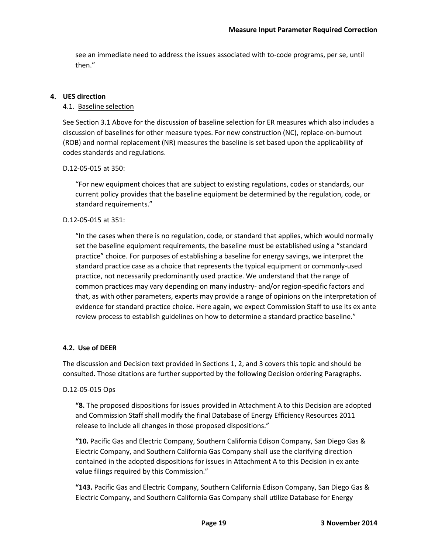see an immediate need to address the issues associated with to-code programs, per se, until then."

# **4. UES direction**

# 4.1. Baseline selection

See Section 3.1 Above for the discussion of baseline selection for ER measures which also includes a discussion of baselines for other measure types. For new construction (NC), replace-on-burnout (ROB) and normal replacement (NR) measures the baseline is set based upon the applicability of codes standards and regulations.

# D.12-05-015 at 350:

"For new equipment choices that are subject to existing regulations, codes or standards, our current policy provides that the baseline equipment be determined by the regulation, code, or standard requirements."

# D.12-05-015 at 351:

"In the cases when there is no regulation, code, or standard that applies, which would normally set the baseline equipment requirements, the baseline must be established using a "standard practice" choice. For purposes of establishing a baseline for energy savings, we interpret the standard practice case as a choice that represents the typical equipment or commonly-used practice, not necessarily predominantly used practice. We understand that the range of common practices may vary depending on many industry- and/or region-specific factors and that, as with other parameters, experts may provide a range of opinions on the interpretation of evidence for standard practice choice. Here again, we expect Commission Staff to use its ex ante review process to establish guidelines on how to determine a standard practice baseline."

# **4.2. Use of DEER**

The discussion and Decision text provided in Sections 1, 2, and 3 covers this topic and should be consulted. Those citations are further supported by the following Decision ordering Paragraphs.

# D.12-05-015 Ops

**"8.** The proposed dispositions for issues provided in Attachment A to this Decision are adopted and Commission Staff shall modify the final Database of Energy Efficiency Resources 2011 release to include all changes in those proposed dispositions."

**"10.** Pacific Gas and Electric Company, Southern California Edison Company, San Diego Gas & Electric Company, and Southern California Gas Company shall use the clarifying direction contained in the adopted dispositions for issues in Attachment A to this Decision in ex ante value filings required by this Commission."

**"143.** Pacific Gas and Electric Company, Southern California Edison Company, San Diego Gas & Electric Company, and Southern California Gas Company shall utilize Database for Energy